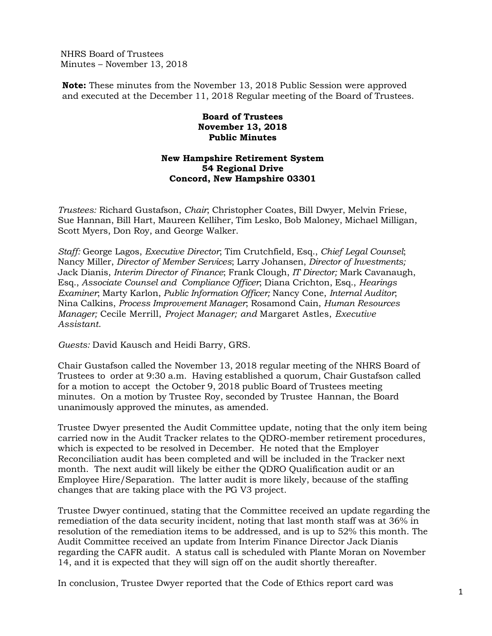NHRS Board of Trustees Minutes – November 13, 2018

**Note:** These minutes from the November 13, 2018 Public Session were approved and executed at the December 11, 2018 Regular meeting of the Board of Trustees.

## **Board of Trustees November 13, 2018 Public Minutes**

## **New Hampshire Retirement System 54 Regional Drive Concord, New Hampshire 03301**

*Trustees:* Richard Gustafson, *Chair*; Christopher Coates, Bill Dwyer, Melvin Friese, Sue Hannan, Bill Hart, Maureen Kelliher, Tim Lesko, Bob Maloney, Michael Milligan, Scott Myers, Don Roy, and George Walker.

*Staff:* George Lagos, *Executive Director*; Tim Crutchfield, Esq., *Chief Legal Counsel*; Nancy Miller, *Director of Member Services*; Larry Johansen, *Director of Investments;*  Jack Dianis, *Interim Director of Finance*; Frank Clough, *IT Director;* Mark Cavanaugh, Esq., *Associate Counsel and Compliance Officer*; Diana Crichton, Esq., *Hearings Examiner*; Marty Karlon, *Public Information Officer;* Nancy Cone, *Internal Auditor*; Nina Calkins, *Process Improvement Manager*; Rosamond Cain, *Human Resources Manager;* Cecile Merrill, *Project Manager; and* Margaret Astles, *Executive Assistant*.

*Guests:* David Kausch and Heidi Barry, GRS.

Chair Gustafson called the November 13, 2018 regular meeting of the NHRS Board of Trustees to order at 9:30 a.m. Having established a quorum, Chair Gustafson called for a motion to accept the October 9, 2018 public Board of Trustees meeting minutes. On a motion by Trustee Roy, seconded by Trustee Hannan, the Board unanimously approved the minutes, as amended.

Trustee Dwyer presented the Audit Committee update, noting that the only item being carried now in the Audit Tracker relates to the QDRO-member retirement procedures, which is expected to be resolved in December. He noted that the Employer Reconciliation audit has been completed and will be included in the Tracker next month. The next audit will likely be either the QDRO Qualification audit or an Employee Hire/Separation. The latter audit is more likely, because of the staffing changes that are taking place with the PG V3 project.

Trustee Dwyer continued, stating that the Committee received an update regarding the remediation of the data security incident, noting that last month staff was at 36% in resolution of the remediation items to be addressed, and is up to 52% this month. The Audit Committee received an update from Interim Finance Director Jack Dianis regarding the CAFR audit. A status call is scheduled with Plante Moran on November 14, and it is expected that they will sign off on the audit shortly thereafter.

In conclusion, Trustee Dwyer reported that the Code of Ethics report card was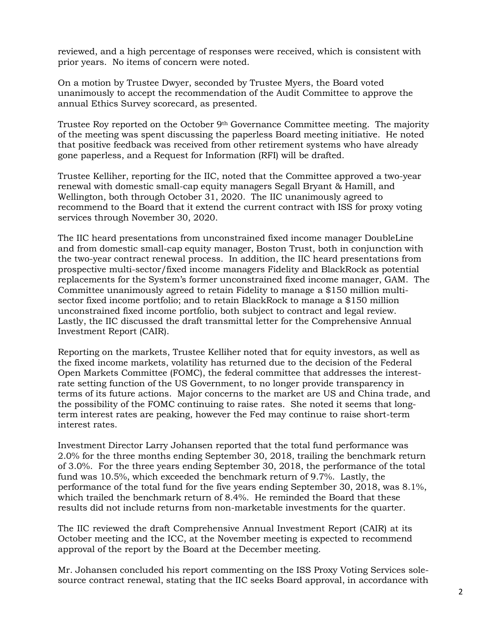reviewed, and a high percentage of responses were received, which is consistent with prior years. No items of concern were noted.

On a motion by Trustee Dwyer, seconded by Trustee Myers, the Board voted unanimously to accept the recommendation of the Audit Committee to approve the annual Ethics Survey scorecard, as presented.

Trustee Roy reported on the October 9th Governance Committee meeting. The majority of the meeting was spent discussing the paperless Board meeting initiative. He noted that positive feedback was received from other retirement systems who have already gone paperless, and a Request for Information (RFI) will be drafted.

Trustee Kelliher, reporting for the IIC, noted that the Committee approved a two-year renewal with domestic small-cap equity managers Segall Bryant & Hamill, and Wellington, both through October 31, 2020. The IIC unanimously agreed to recommend to the Board that it extend the current contract with ISS for proxy voting services through November 30, 2020.

The IIC heard presentations from unconstrained fixed income manager DoubleLine and from domestic small-cap equity manager, Boston Trust, both in conjunction with the two-year contract renewal process. In addition, the IIC heard presentations from prospective multi-sector/fixed income managers Fidelity and BlackRock as potential replacements for the System's former unconstrained fixed income manager, GAM. The Committee unanimously agreed to retain Fidelity to manage a \$150 million multisector fixed income portfolio; and to retain BlackRock to manage a \$150 million unconstrained fixed income portfolio, both subject to contract and legal review. Lastly, the IIC discussed the draft transmittal letter for the Comprehensive Annual Investment Report (CAIR).

Reporting on the markets, Trustee Kelliher noted that for equity investors, as well as the fixed income markets, volatility has returned due to the decision of the Federal Open Markets Committee (FOMC), the federal committee that addresses the interestrate setting function of the US Government, to no longer provide transparency in terms of its future actions. Major concerns to the market are US and China trade, and the possibility of the FOMC continuing to raise rates. She noted it seems that longterm interest rates are peaking, however the Fed may continue to raise short-term interest rates.

Investment Director Larry Johansen reported that the total fund performance was 2.0% for the three months ending September 30, 2018, trailing the benchmark return of 3.0%. For the three years ending September 30, 2018, the performance of the total fund was 10.5%, which exceeded the benchmark return of 9.7%. Lastly, the performance of the total fund for the five years ending September 30, 2018, was 8.1%, which trailed the benchmark return of 8.4%. He reminded the Board that these results did not include returns from non-marketable investments for the quarter.

The IIC reviewed the draft Comprehensive Annual Investment Report (CAIR) at its October meeting and the ICC, at the November meeting is expected to recommend approval of the report by the Board at the December meeting.

Mr. Johansen concluded his report commenting on the ISS Proxy Voting Services solesource contract renewal, stating that the IIC seeks Board approval, in accordance with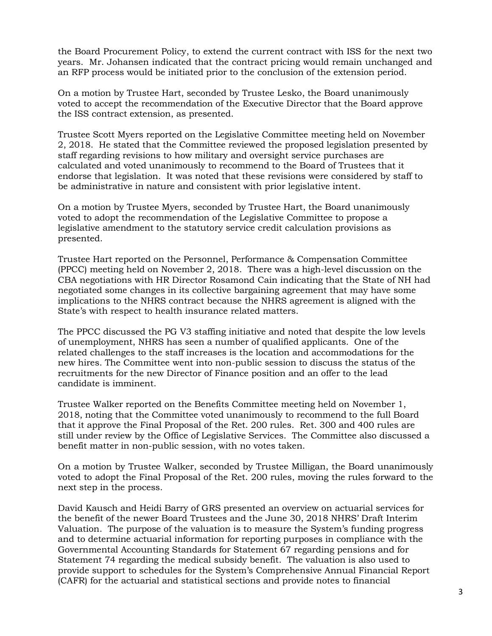the Board Procurement Policy, to extend the current contract with ISS for the next two years. Mr. Johansen indicated that the contract pricing would remain unchanged and an RFP process would be initiated prior to the conclusion of the extension period.

On a motion by Trustee Hart, seconded by Trustee Lesko, the Board unanimously voted to accept the recommendation of the Executive Director that the Board approve the ISS contract extension, as presented.

Trustee Scott Myers reported on the Legislative Committee meeting held on November 2, 2018. He stated that the Committee reviewed the proposed legislation presented by staff regarding revisions to how military and oversight service purchases are calculated and voted unanimously to recommend to the Board of Trustees that it endorse that legislation. It was noted that these revisions were considered by staff to be administrative in nature and consistent with prior legislative intent.

On a motion by Trustee Myers, seconded by Trustee Hart, the Board unanimously voted to adopt the recommendation of the Legislative Committee to propose a legislative amendment to the statutory service credit calculation provisions as presented.

Trustee Hart reported on the Personnel, Performance & Compensation Committee (PPCC) meeting held on November 2, 2018. There was a high-level discussion on the CBA negotiations with HR Director Rosamond Cain indicating that the State of NH had negotiated some changes in its collective bargaining agreement that may have some implications to the NHRS contract because the NHRS agreement is aligned with the State's with respect to health insurance related matters.

The PPCC discussed the PG V3 staffing initiative and noted that despite the low levels of unemployment, NHRS has seen a number of qualified applicants. One of the related challenges to the staff increases is the location and accommodations for the new hires. The Committee went into non-public session to discuss the status of the recruitments for the new Director of Finance position and an offer to the lead candidate is imminent.

Trustee Walker reported on the Benefits Committee meeting held on November 1, 2018, noting that the Committee voted unanimously to recommend to the full Board that it approve the Final Proposal of the Ret. 200 rules. Ret. 300 and 400 rules are still under review by the Office of Legislative Services. The Committee also discussed a benefit matter in non-public session, with no votes taken.

On a motion by Trustee Walker, seconded by Trustee Milligan, the Board unanimously voted to adopt the Final Proposal of the Ret. 200 rules, moving the rules forward to the next step in the process.

David Kausch and Heidi Barry of GRS presented an overview on actuarial services for the benefit of the newer Board Trustees and the June 30, 2018 NHRS' Draft Interim Valuation. The purpose of the valuation is to measure the System's funding progress and to determine actuarial information for reporting purposes in compliance with the Governmental Accounting Standards for Statement 67 regarding pensions and for Statement 74 regarding the medical subsidy benefit. The valuation is also used to provide support to schedules for the System's Comprehensive Annual Financial Report (CAFR) for the actuarial and statistical sections and provide notes to financial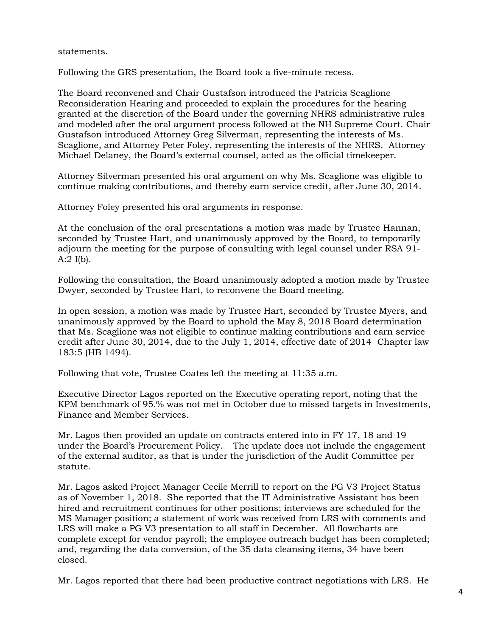## statements.

Following the GRS presentation, the Board took a five-minute recess.

The Board reconvened and Chair Gustafson introduced the Patricia Scaglione Reconsideration Hearing and proceeded to explain the procedures for the hearing granted at the discretion of the Board under the governing NHRS administrative rules and modeled after the oral argument process followed at the NH Supreme Court. Chair Gustafson introduced Attorney Greg Silverman, representing the interests of Ms. Scaglione, and Attorney Peter Foley, representing the interests of the NHRS. Attorney Michael Delaney, the Board's external counsel, acted as the official timekeeper.

Attorney Silverman presented his oral argument on why Ms. Scaglione was eligible to continue making contributions, and thereby earn service credit, after June 30, 2014.

Attorney Foley presented his oral arguments in response.

At the conclusion of the oral presentations a motion was made by Trustee Hannan, seconded by Trustee Hart, and unanimously approved by the Board, to temporarily adjourn the meeting for the purpose of consulting with legal counsel under RSA 91- A: $2$  I(b).

Following the consultation, the Board unanimously adopted a motion made by Trustee Dwyer, seconded by Trustee Hart, to reconvene the Board meeting.

In open session, a motion was made by Trustee Hart, seconded by Trustee Myers, and unanimously approved by the Board to uphold the May 8, 2018 Board determination that Ms. Scaglione was not eligible to continue making contributions and earn service credit after June 30, 2014, due to the July 1, 2014, effective date of 2014 Chapter law 183:5 (HB 1494).

Following that vote, Trustee Coates left the meeting at 11:35 a.m.

Executive Director Lagos reported on the Executive operating report, noting that the KPM benchmark of 95.% was not met in October due to missed targets in Investments, Finance and Member Services.

Mr. Lagos then provided an update on contracts entered into in FY 17, 18 and 19 under the Board's Procurement Policy. The update does not include the engagement of the external auditor, as that is under the jurisdiction of the Audit Committee per statute.

Mr. Lagos asked Project Manager Cecile Merrill to report on the PG V3 Project Status as of November 1, 2018. She reported that the IT Administrative Assistant has been hired and recruitment continues for other positions; interviews are scheduled for the MS Manager position; a statement of work was received from LRS with comments and LRS will make a PG V3 presentation to all staff in December. All flowcharts are complete except for vendor payroll; the employee outreach budget has been completed; and, regarding the data conversion, of the 35 data cleansing items, 34 have been closed.

Mr. Lagos reported that there had been productive contract negotiations with LRS. He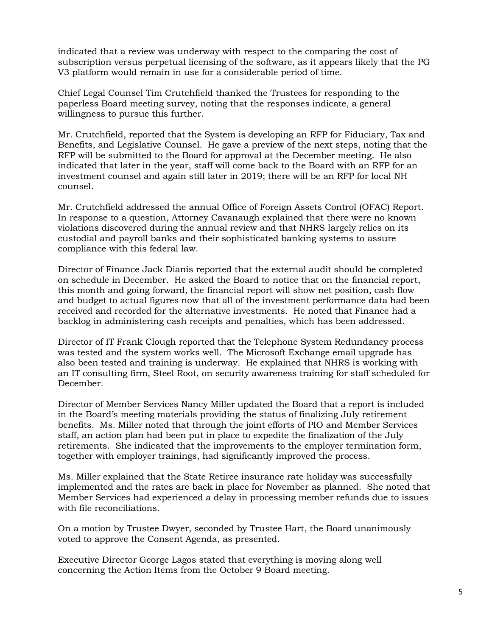indicated that a review was underway with respect to the comparing the cost of subscription versus perpetual licensing of the software, as it appears likely that the PG V3 platform would remain in use for a considerable period of time.

Chief Legal Counsel Tim Crutchfield thanked the Trustees for responding to the paperless Board meeting survey, noting that the responses indicate, a general willingness to pursue this further.

Mr. Crutchfield, reported that the System is developing an RFP for Fiduciary, Tax and Benefits, and Legislative Counsel. He gave a preview of the next steps, noting that the RFP will be submitted to the Board for approval at the December meeting. He also indicated that later in the year, staff will come back to the Board with an RFP for an investment counsel and again still later in 2019; there will be an RFP for local NH counsel.

Mr. Crutchfield addressed the annual Office of Foreign Assets Control (OFAC) Report. In response to a question, Attorney Cavanaugh explained that there were no known violations discovered during the annual review and that NHRS largely relies on its custodial and payroll banks and their sophisticated banking systems to assure compliance with this federal law.

Director of Finance Jack Dianis reported that the external audit should be completed on schedule in December. He asked the Board to notice that on the financial report, this month and going forward, the financial report will show net position, cash flow and budget to actual figures now that all of the investment performance data had been received and recorded for the alternative investments. He noted that Finance had a backlog in administering cash receipts and penalties, which has been addressed.

Director of IT Frank Clough reported that the Telephone System Redundancy process was tested and the system works well. The Microsoft Exchange email upgrade has also been tested and training is underway. He explained that NHRS is working with an IT consulting firm, Steel Root, on security awareness training for staff scheduled for December.

Director of Member Services Nancy Miller updated the Board that a report is included in the Board's meeting materials providing the status of finalizing July retirement benefits. Ms. Miller noted that through the joint efforts of PIO and Member Services staff, an action plan had been put in place to expedite the finalization of the July retirements. She indicated that the improvements to the employer termination form, together with employer trainings, had significantly improved the process.

Ms. Miller explained that the State Retiree insurance rate holiday was successfully implemented and the rates are back in place for November as planned. She noted that Member Services had experienced a delay in processing member refunds due to issues with file reconciliations.

On a motion by Trustee Dwyer, seconded by Trustee Hart, the Board unanimously voted to approve the Consent Agenda, as presented.

Executive Director George Lagos stated that everything is moving along well concerning the Action Items from the October 9 Board meeting.